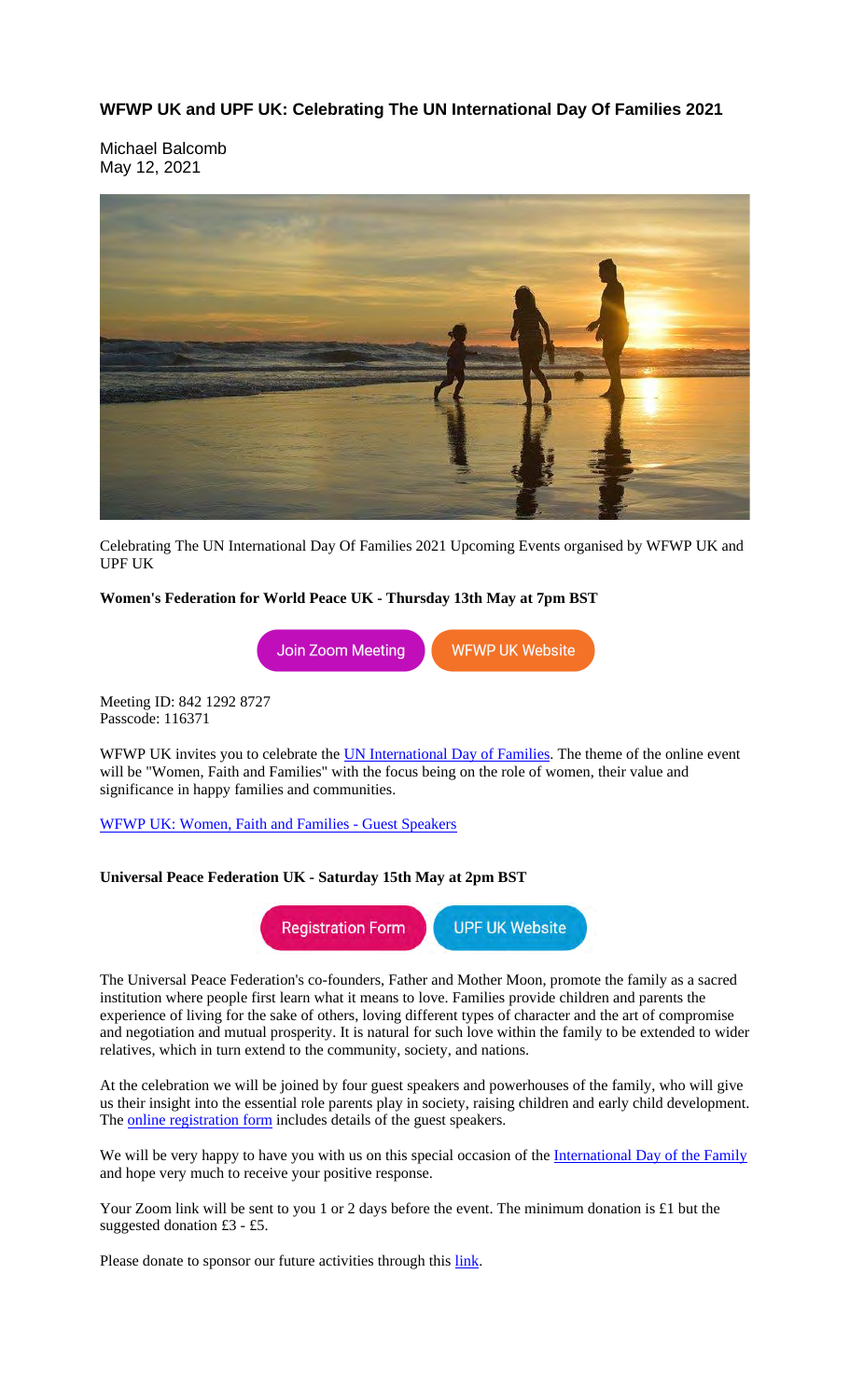**WFWP UK and UPF UK: Celebrating The UN International Day Of Families 2021**

Michael Balcomb May 12, 2021



Celebrating The UN International Day Of Families 2021 Upcoming Events organised by WFWP UK and UPF UK

# **Women's Federation for World Peace UK - Thursday 13th May at 7pm BST**



Meeting ID: 842 1292 8727 Passcode: 116371

WFWP UK invites you to celebrate the **UN International Day of Families**. The theme of the online event will be "Women, Faith and Families" with the focus being on the role of women, their value and significance in happy families and communities.

WFWP UK: Women, Faith and Families - Guest Speakers

# **Universal Peace Federation UK - Saturday 15th May at 2pm BST**



The Universal Peace Federation's co-founders, Father and Mother Moon, promote the family as a sacred institution where people first learn what it means to love. Families provide children and parents the experience of living for the sake of others, loving different types of character and the art of compromise and negotiation and mutual prosperity. It is natural for such love within the family to be extended to wider relatives, which in turn extend to the community, society, and nations.

At the celebration we will be joined by four guest speakers and powerhouses of the family, who will give us their insight into the essential role parents play in society, raising children and early child development. The **online registration form** includes details of the guest speakers.

We will be very happy to have you with us on this special occasion of the International Day of the Family and hope very much to receive your positive response.

Your Zoom link will be sent to you 1 or 2 days before the event. The minimum donation is £1 but the suggested donation £3 - £5.

Please donate to sponsor our future activities through this link.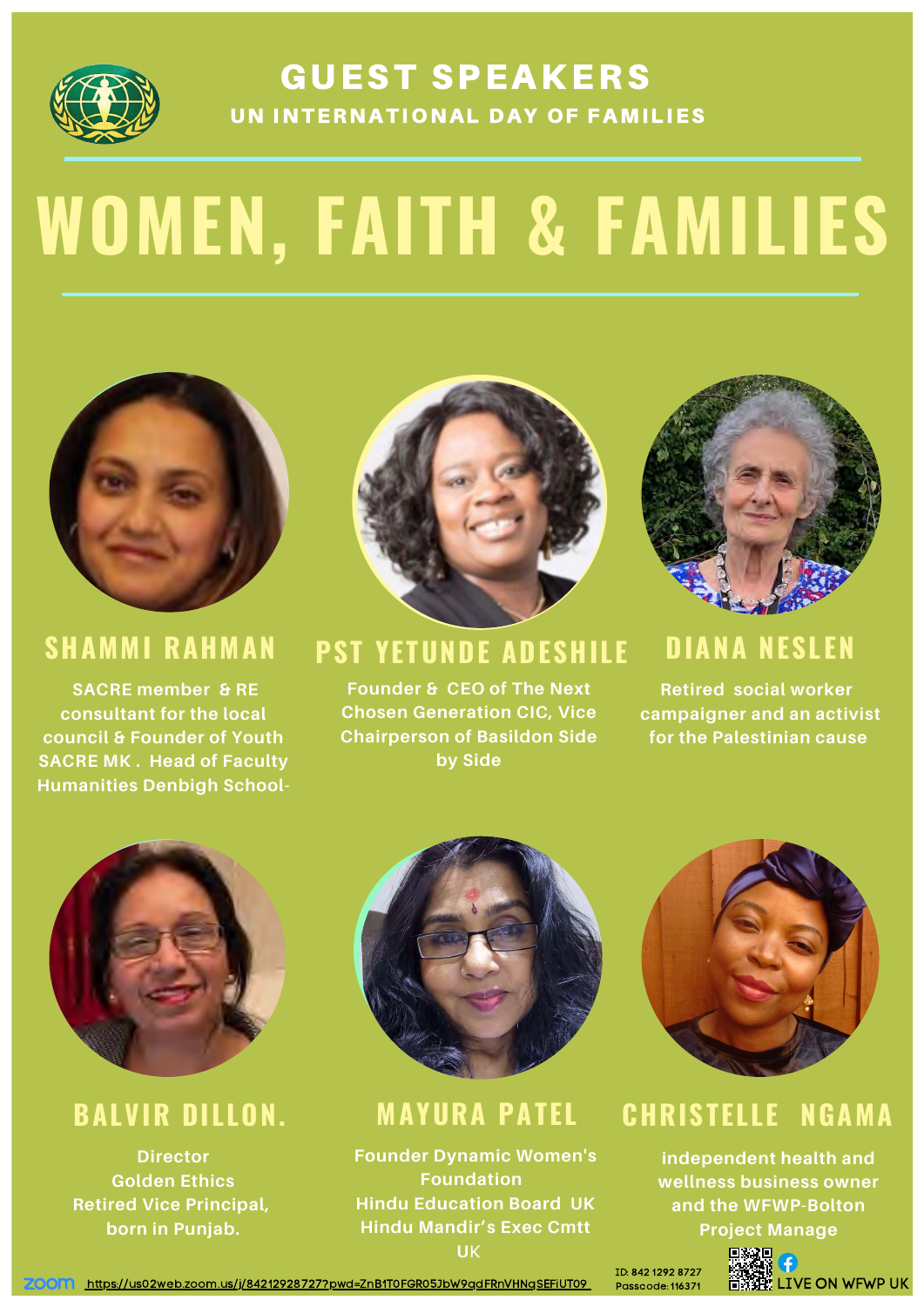

# **GUEST SPEAKERS** UN INTERNATIONAL DAY OF FAMILIES

# **WOMEN, FAITH & FAMILIES**



**SACRE member & RE**



**consultant for the local council & Founder of Youth SACRE MK . Head of Faculty Humanities Denbigh School-** **Founder & CEO of The Next**



**Chosen Generation CIC, Vice Chairperson of Basildon Side by Side**

**Director Golden Ethics Retired Vice Principal, born in Punjab.**





# **PST YETUNDE ADESHILE SHAMMI RAHMAN DIANA NESLEN**

**Founder Dynamic Women's Foundation Hindu Education Board UK Hindu Mandir's Exec Cmtt U**K

**Retired social worker**

**campaigner and an activist for the Palestinian cause**



# **BALVIR DILLON. MAYURA PATEL CHRISTELLE NGAMA**

**independent health and wellness business owner and the WFWP-Bolton**

**Project Manage**



https://us02web.zoom.us/j/84212928727?pwd=ZnB1T0FGR05JbW9qdFRnVHNqSEFiUT09 Passcode: 116371 DIVE ON WFWP UK **ZOON** 

ID: 842 1292 8727 Passcode: 116371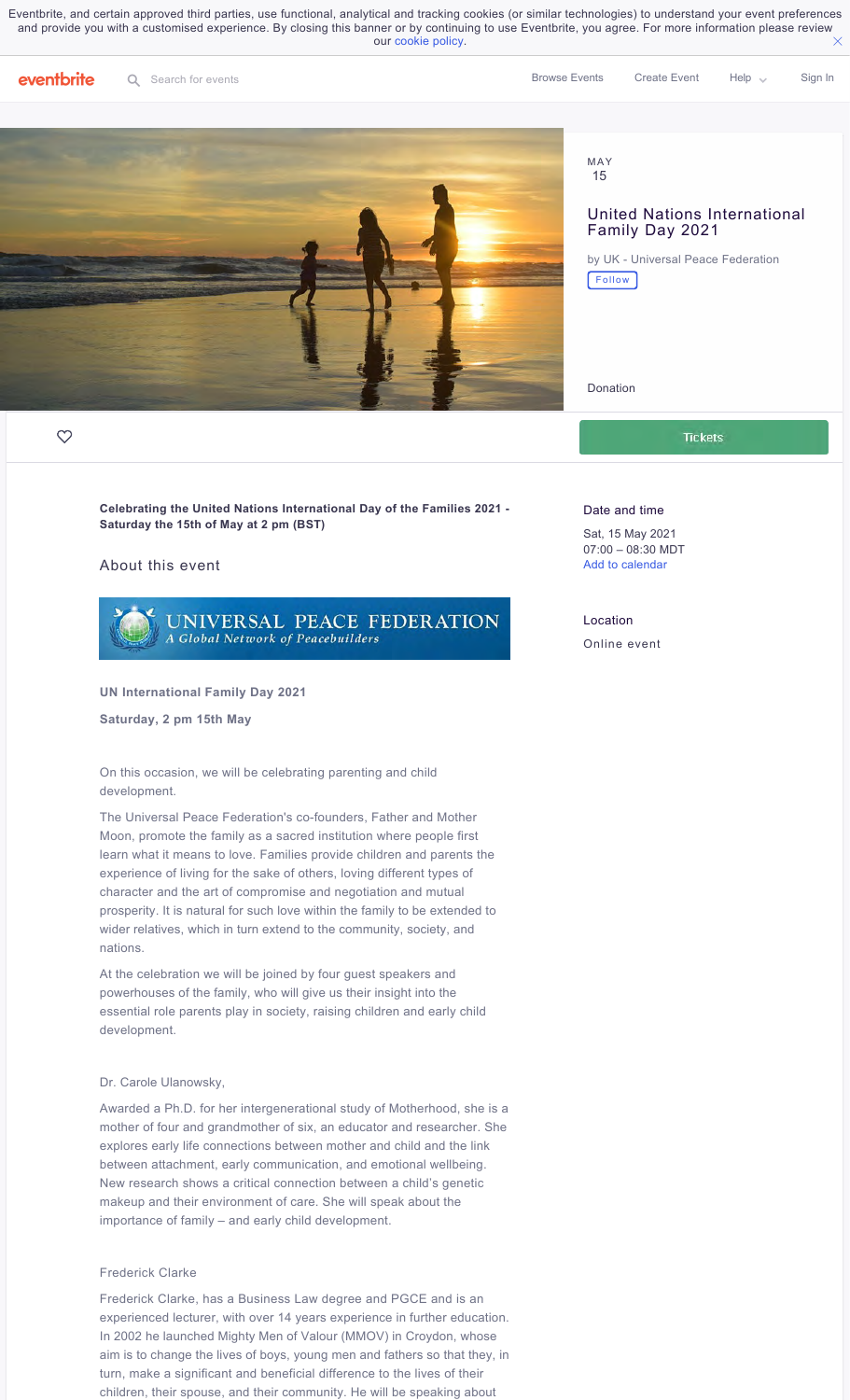$\times$ Eventbrite, and certain approved third parties, use functional, analytical and tracking cookies (or similar technologies) to understand your event preferences and provide you with a customised experience. By closing this banner or by continuing to use Eventbrite, you agree. For more information please review our cookie policy.



### MAY 15

# United Nations International Family Day 2021

by UK - Universal Peace Federation Follow

Donation

**Tickets** 

**Celebrating the United Nations International Day of the Families 2021 - Saturday the 15th of May at 2 pm (BST)**

## About this event



### **UN International Family Day 2021**

**Saturday, 2 pm 15th May**

On this occasion, we will be celebrating parenting and child development.

The Universal Peace Federation's co-founders, Father and Mother Moon, promote the family as a sacred institution where people first learn what it means to love. Families provide children and parents the experience of living for the sake of others, loving different types of character and the art of compromise and negotiation and mutual prosperity. It is natural for such love within the family to be extended to wider relatives, which in turn extend to the community, society, and nations.

At the celebration we will be joined by four guest speakers and powerhouses of the family, who will give us their insight into the essential role parents play in society, raising children and early child development.

### Dr. Carole Ulanowsky,

Awarded a Ph.D. for her intergenerational study of Motherhood, she is a mother of four and grandmother of six, an educator and researcher. She explores early life connections between mother and child and the link between attachment, early communication, and emotional wellbeing. New research shows a critical connection between a child's genetic makeup and their environment of care. She will speak about the importance of family – and early child development.

### Frederick Clarke

Frederick Clarke, has a Business Law degree and PGCE and is an experienced lecturer, with over 14 years experience in further education. In 2002 he launched Mighty Men of Valour (MMOV) in Croydon, whose aim is to change the lives of boys, young men and fathers so that they, in turn, make a significant and beneficial difference to the lives of their children, their spouse, and their community. He will be speaking about

### Date and time

Sat, 15 May 2021 07:00 – 08:30 MDT Add to calendar

### Location

Online event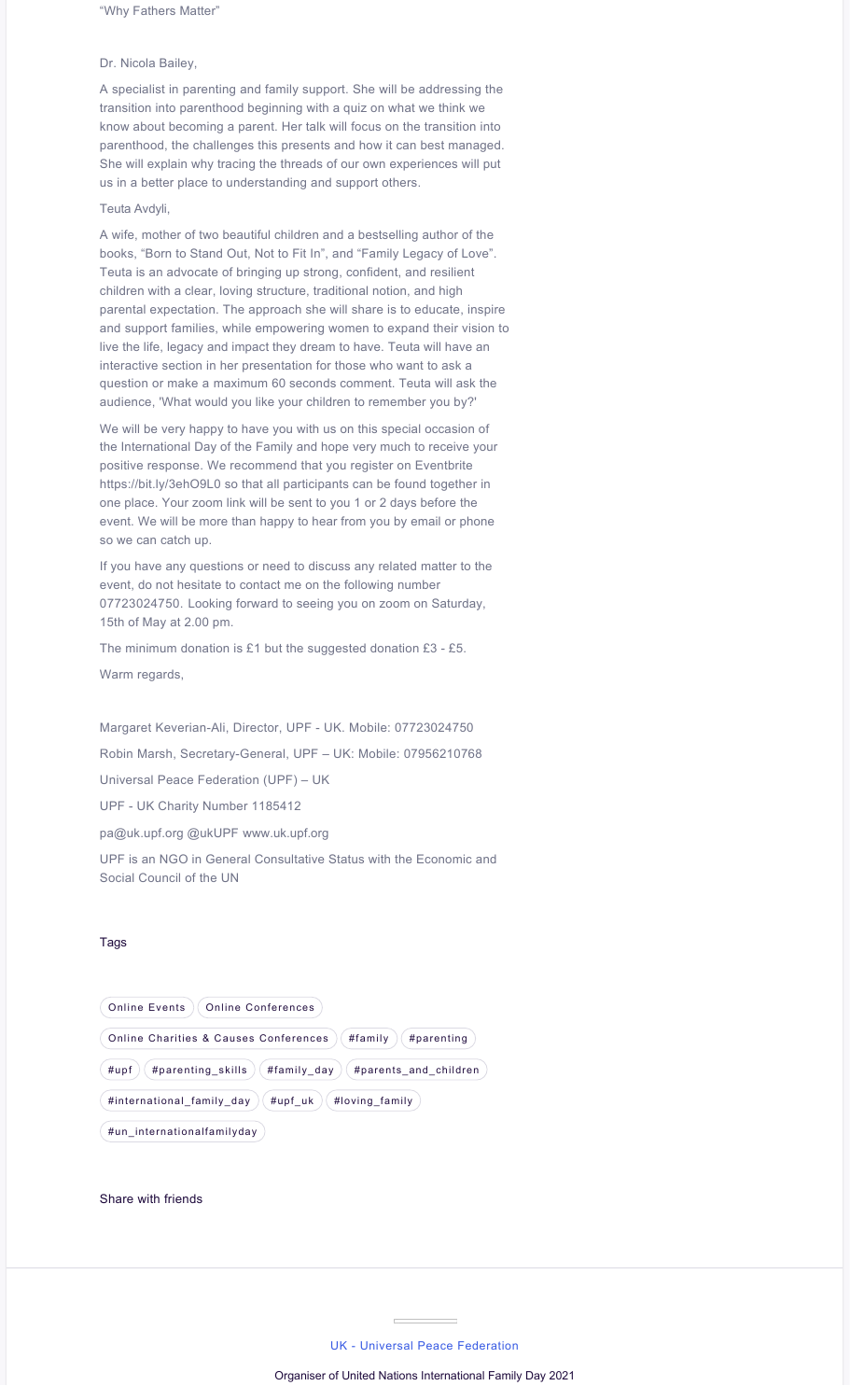"Why Fathers Matter"

## Dr. Nicola Bailey,

A specialist in parenting and family support. She will be addressing the transition into parenthood beginning with a quiz on what we think we know about becoming a parent. Her talk will focus on the transition into parenthood, the challenges this presents and how it can best managed. She will explain why tracing the threads of our own experiences will put us in a better place to understanding and support others.

### Teuta Avdyli,

A wife, mother of two beautiful children and a bestselling author of the books, "Born to Stand Out, Not to Fit In", and "Family Legacy of Love". Teuta is an advocate of bringing up strong, confident, and resilient children with a clear, loving structure, traditional notion, and high parental expectation. The approach she will share is to educate, inspire and support families, while empowering women to expand their vision to live the life, legacy and impact they dream to have. Teuta will have an interactive section in her presentation for those who want to ask a question or make a maximum 60 seconds comment. Teuta will ask the audience, 'What would you like your children to remember you by?'

We will be very happy to have you with us on this special occasion of the International Day of the Family and hope very much to receive your positive response. We recommend that you register on Eventbrite https://bit.ly/3ehO9L0 so that all participants can be found together in one place. Your zoom link will be sent to you 1 or 2 days before the event. We will be more than happy to hear from you by email or phone so we can catch up.

If you have any questions or need to discuss any related matter to the event, do not hesitate to contact me on the following number 07723024750. Looking forward to seeing you on zoom on Saturday, 15th of May at 2.00 pm.

The minimum donation is £1 but the suggested donation £3 - £5.

Warm regards,

Margaret Keverian-Ali, Director, UPF - UK. Mobile: 07723024750 Robin Marsh, Secretary-General, UPF – UK: Mobile: 07956210768 Universal Peace Federation (UPF) – UK UPF - UK Charity Number 1185412

pa@uk.upf.org @ukUPF www.uk.upf.org

UPF is an NGO in General Consultative Status with the Economic and Social Council of the UN

## Tags

| <b>Online Events</b><br>Online Conferences                        |  |
|-------------------------------------------------------------------|--|
| #family<br>Online Charities & Causes Conferences<br>#parenting    |  |
| #upf<br>#family_day<br>#parenting skills<br>#parents and children |  |
| #upf uk<br>#loving family<br>#international_family_day            |  |
| #un internationalfamilyday                                        |  |

Share with friends